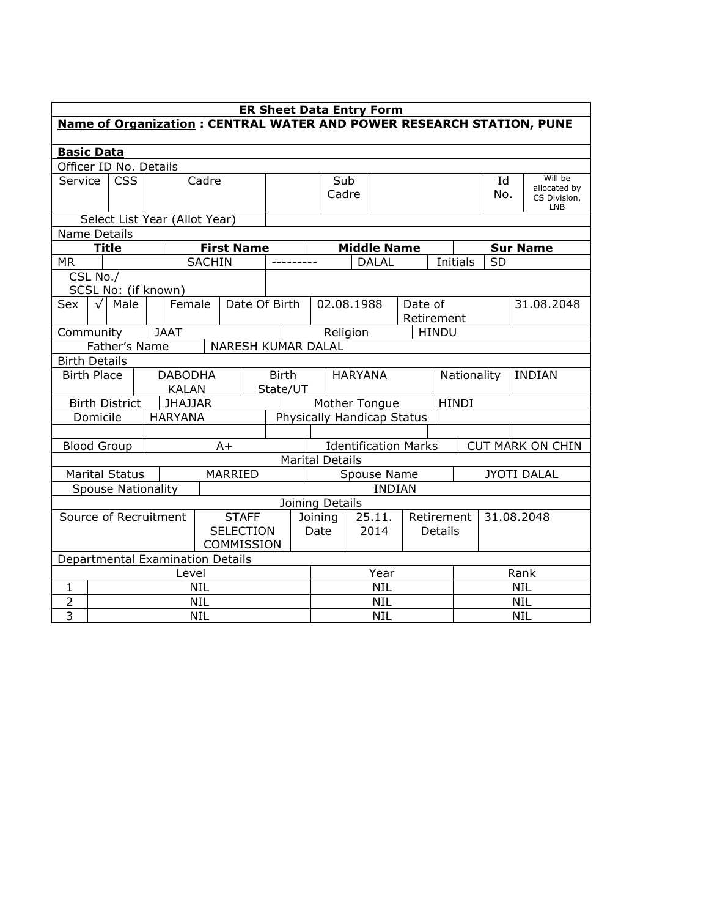|                      | <b>ER Sheet Data Entry Form</b>                                       |                                  |      |                |               |                    |                                                        |                                |                                     |                          |                    |            |                         |                            |               |                    |
|----------------------|-----------------------------------------------------------------------|----------------------------------|------|----------------|---------------|--------------------|--------------------------------------------------------|--------------------------------|-------------------------------------|--------------------------|--------------------|------------|-------------------------|----------------------------|---------------|--------------------|
|                      | Name of Organization : CENTRAL WATER AND POWER RESEARCH STATION, PUNE |                                  |      |                |               |                    |                                                        |                                |                                     |                          |                    |            |                         |                            |               |                    |
| <b>Basic Data</b>    |                                                                       |                                  |      |                |               |                    |                                                        |                                |                                     |                          |                    |            |                         |                            |               |                    |
|                      |                                                                       | Officer ID No. Details           |      |                |               |                    |                                                        |                                |                                     |                          |                    |            |                         |                            |               |                    |
|                      | <b>CSS</b><br>Cadre<br>Service                                        |                                  |      |                |               |                    | Sub                                                    |                                |                                     |                          |                    | Id         | Will be<br>allocated by |                            |               |                    |
|                      |                                                                       |                                  |      |                |               |                    |                                                        | Cadre                          |                                     |                          |                    |            | No.                     | CS Division,<br><b>LNB</b> |               |                    |
|                      |                                                                       | Select List Year (Allot Year)    |      |                |               |                    |                                                        |                                |                                     |                          |                    |            |                         |                            |               |                    |
| Name Details         |                                                                       |                                  |      |                |               |                    |                                                        |                                |                                     |                          |                    |            |                         |                            |               |                    |
|                      |                                                                       | <b>Title</b>                     |      |                |               | <b>First Name</b>  |                                                        |                                |                                     |                          | <b>Middle Name</b> |            |                         |                            |               | <b>Sur Name</b>    |
| <b>MR</b>            |                                                                       |                                  |      |                | <b>SACHIN</b> |                    |                                                        |                                |                                     |                          | <b>DALAL</b>       |            |                         | Initials                   | <b>SD</b>     |                    |
| CSL No./             |                                                                       |                                  |      |                |               |                    |                                                        |                                |                                     |                          |                    |            |                         |                            |               |                    |
|                      |                                                                       | SCSL No: (if known)              |      |                |               |                    |                                                        |                                |                                     |                          |                    |            |                         |                            |               |                    |
| Sex                  | $\sqrt{ }$                                                            | Male                             |      | Female         |               | Date Of Birth      |                                                        |                                | 02.08.1988<br>Date of<br>Retirement |                          |                    |            |                         |                            | 31.08.2048    |                    |
| Community            |                                                                       |                                  |      | <b>JAAT</b>    |               |                    |                                                        |                                |                                     | Religion                 |                    |            | <b>HINDU</b>            |                            |               |                    |
|                      |                                                                       | Father's Name                    |      |                |               | NARESH KUMAR DALAL |                                                        |                                |                                     |                          |                    |            |                         |                            |               |                    |
| <b>Birth Details</b> |                                                                       |                                  |      |                |               |                    |                                                        |                                |                                     |                          |                    |            |                         |                            |               |                    |
| <b>Birth Place</b>   |                                                                       |                                  |      | <b>DABODHA</b> |               |                    |                                                        | <b>Birth</b><br><b>HARYANA</b> |                                     |                          |                    |            | Nationality             |                            | <b>INDIAN</b> |                    |
|                      |                                                                       |                                  |      | <b>KALAN</b>   |               |                    | State/UT                                               |                                |                                     |                          |                    |            |                         |                            |               |                    |
|                      |                                                                       | <b>Birth District</b>            |      | <b>JHAJJAR</b> |               |                    |                                                        | <b>HINDI</b><br>Mother Tongue  |                                     |                          |                    |            |                         |                            |               |                    |
|                      | Domicile                                                              |                                  |      | <b>HARYANA</b> |               |                    |                                                        | Physically Handicap Status     |                                     |                          |                    |            |                         |                            |               |                    |
|                      |                                                                       |                                  |      |                |               |                    |                                                        |                                |                                     |                          |                    |            |                         |                            |               |                    |
|                      |                                                                       | <b>Blood Group</b>               |      |                |               | $A+$               | <b>Identification Marks</b><br><b>CUT MARK ON CHIN</b> |                                |                                     |                          |                    |            |                         |                            |               |                    |
|                      |                                                                       |                                  |      |                |               |                    |                                                        |                                | <b>Marital Details</b>              |                          |                    |            |                         |                            |               |                    |
|                      |                                                                       | <b>Marital Status</b>            |      |                |               | MARRIED            |                                                        |                                |                                     |                          | Spouse Name        |            |                         |                            |               | <b>JYOTI DALAL</b> |
|                      |                                                                       | <b>Spouse Nationality</b>        |      |                |               |                    |                                                        |                                |                                     |                          | <b>INDIAN</b>      |            |                         |                            |               |                    |
|                      |                                                                       |                                  |      |                |               |                    |                                                        |                                | Joining Details                     |                          |                    |            |                         |                            |               |                    |
|                      |                                                                       | Source of Recruitment            |      |                |               | <b>STAFF</b>       |                                                        | Joining                        |                                     |                          | 25.11.             | Retirement |                         |                            | 31.08.2048    |                    |
| <b>SELECTION</b>     |                                                                       |                                  | Date |                |               |                    | 2014                                                   | Details                        |                                     |                          |                    |            |                         |                            |               |                    |
| COMMISSION           |                                                                       |                                  |      |                |               |                    |                                                        |                                |                                     |                          |                    |            |                         |                            |               |                    |
|                      |                                                                       | Departmental Examination Details |      |                |               |                    |                                                        |                                |                                     |                          |                    |            |                         |                            |               |                    |
|                      |                                                                       |                                  |      | Level          |               |                    |                                                        |                                |                                     |                          | Year               |            |                         | Rank                       |               |                    |
| 1                    |                                                                       |                                  |      |                | <b>NIL</b>    |                    |                                                        |                                | <b>NIL</b>                          |                          |                    |            |                         | <b>NIL</b>                 |               |                    |
| $\overline{2}$       | <b>NIL</b>                                                            |                                  |      |                |               |                    |                                                        |                                |                                     | <b>NIL</b><br><b>NIL</b> |                    |            |                         |                            |               |                    |
| $\overline{3}$       | <b>NIL</b>                                                            |                                  |      |                |               |                    |                                                        |                                | <b>NIL</b>                          |                          |                    |            |                         | <b>NIL</b>                 |               |                    |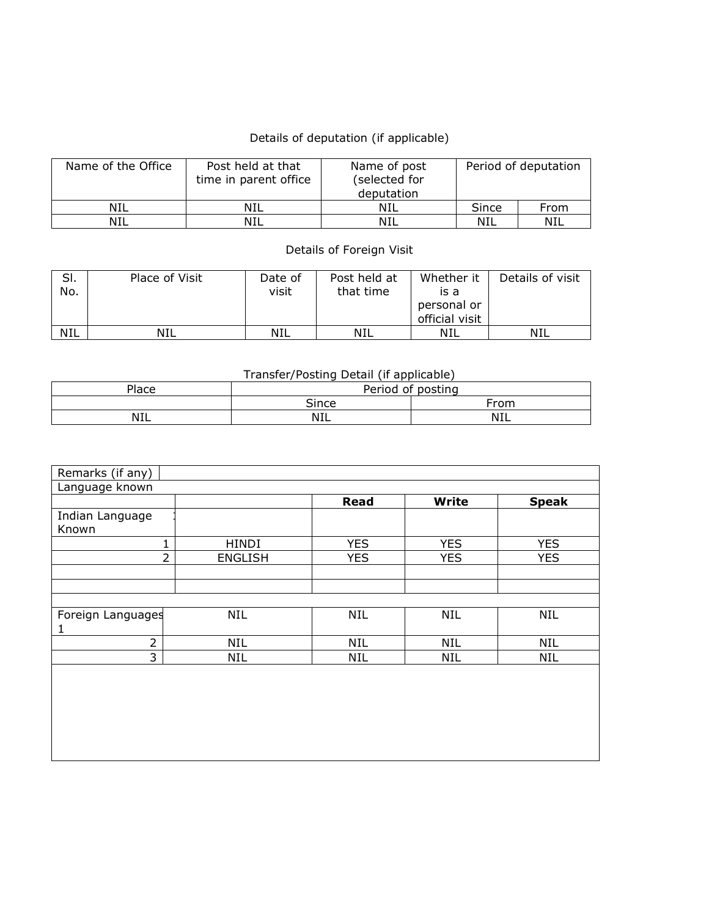## Details of deputation (if applicable)

| Name of the Office | Post held at that<br>time in parent office | Name of post<br>(selected for<br>deputation |       | Period of deputation |
|--------------------|--------------------------------------------|---------------------------------------------|-------|----------------------|
| NIL                | NIL                                        | NIL                                         | Since | From                 |
| NIL                | NIL                                        | NIL                                         | NIL   | NIL                  |

## Details of Foreign Visit

| SI.<br>No. | Place of Visit | Date of<br>visit | Post held at<br>that time | Whether it<br>is a<br>personal or<br>official visit | Details of visit |
|------------|----------------|------------------|---------------------------|-----------------------------------------------------|------------------|
| <b>NIL</b> | NIL            | NIL              | NIL                       | NIL                                                 | NIL              |

## Transfer/Posting Detail (if applicable)

| Period of posting<br>Place |      |  |  |  |  |  |  |
|----------------------------|------|--|--|--|--|--|--|
| Since                      | From |  |  |  |  |  |  |
| <b>NIL</b>                 | NIL  |  |  |  |  |  |  |
|                            |      |  |  |  |  |  |  |

| Remarks (if any)  |                |             |            |              |
|-------------------|----------------|-------------|------------|--------------|
| Language known    |                |             |            |              |
|                   |                | <b>Read</b> | Write      | <b>Speak</b> |
| Indian Language   |                |             |            |              |
| Known             |                |             |            |              |
|                   | HINDI          | <b>YES</b>  | <b>YES</b> | <b>YES</b>   |
| フ                 | <b>ENGLISH</b> | <b>YES</b>  | <b>YES</b> | <b>YES</b>   |
|                   |                |             |            |              |
|                   |                |             |            |              |
|                   |                |             |            |              |
| Foreign Languages | <b>NIL</b>     | <b>NIL</b>  | <b>NIL</b> | <b>NIL</b>   |
| 1                 |                |             |            |              |
| $\overline{2}$    | <b>NIL</b>     | <b>NIL</b>  | <b>NIL</b> | <b>NIL</b>   |
| 3                 | <b>NIL</b>     | <b>NIL</b>  | <b>NIL</b> | <b>NIL</b>   |
|                   |                |             |            |              |
|                   |                |             |            |              |
|                   |                |             |            |              |
|                   |                |             |            |              |
|                   |                |             |            |              |
|                   |                |             |            |              |

<u> 1989 - Johann Stoff, deutscher Stoffen und der Stoffen und der Stoffen und der Stoffen und der Stoffen und der</u>